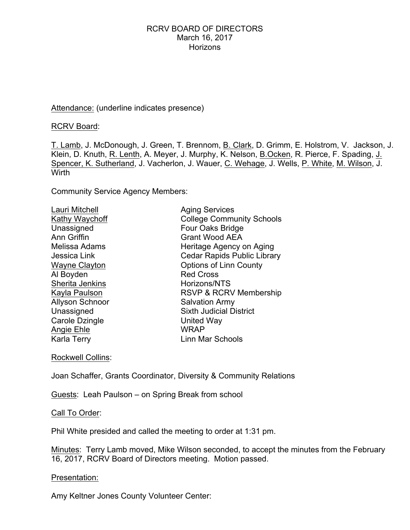## Attendance: (underline indicates presence)

RCRV Board:

T. Lamb, J. McDonough, J. Green, T. Brennom, B. Clark, D. Grimm, E. Holstrom, V. Jackson, J. Klein, D. Knuth, R. Lenth, A. Meyer, J. Murphy, K. Nelson, B.Ocken, R. Pierce, F. Spading, J. Spencer, K. Sutherland, J. Vacherlon, J. Wauer, C. Wehage, J. Wells, P. White, M. Wilson, J. Wirth

Community Service Agency Members:

| Lauri Mitchell         | <b>Aging Services</b>              |
|------------------------|------------------------------------|
| Kathy Waychoff         | <b>College Community Schools</b>   |
| Unassigned             | Four Oaks Bridge                   |
| <b>Ann Griffin</b>     | <b>Grant Wood AEA</b>              |
| Melissa Adams          | Heritage Agency on Aging           |
| Jessica Link           | <b>Cedar Rapids Public Library</b> |
| <b>Wayne Clayton</b>   | <b>Options of Linn County</b>      |
| Al Boyden              | <b>Red Cross</b>                   |
| Sherita Jenkins        | Horizons/NTS                       |
| Kayla Paulson          | <b>RSVP &amp; RCRV Membership</b>  |
| <b>Allyson Schnoor</b> | <b>Salvation Army</b>              |
| Unassigned             | <b>Sixth Judicial District</b>     |
| Carole Dzingle         | United Way                         |
| Angie Ehle             | <b>WRAP</b>                        |
| Karla Terry            | Linn Mar Schools                   |
|                        |                                    |

Rockwell Collins:

Joan Schaffer, Grants Coordinator, Diversity & Community Relations

Guests: Leah Paulson – on Spring Break from school

Call To Order:

Phil White presided and called the meeting to order at 1:31 pm.

Minutes: Terry Lamb moved, Mike Wilson seconded, to accept the minutes from the February 16, 2017, RCRV Board of Directors meeting. Motion passed.

Presentation:

Amy Keltner Jones County Volunteer Center: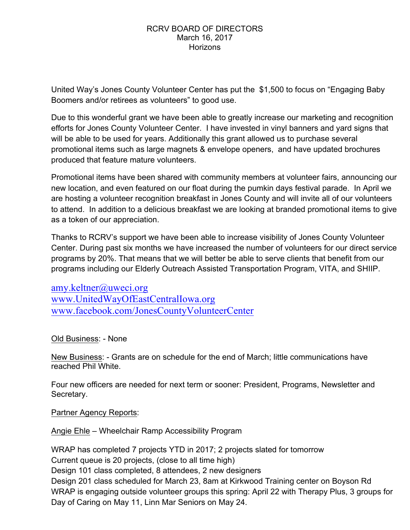United Way's Jones County Volunteer Center has put the \$1,500 to focus on "Engaging Baby Boomers and/or retirees as volunteers" to good use.

Due to this wonderful grant we have been able to greatly increase our marketing and recognition efforts for Jones County Volunteer Center. I have invested in vinyl banners and yard signs that will be able to be used for years. Additionally this grant allowed us to purchase several promotional items such as large magnets & envelope openers, and have updated brochures produced that feature mature volunteers.

Promotional items have been shared with community members at volunteer fairs, announcing our new location, and even featured on our float during the pumkin days festival parade. In April we are hosting a volunteer recognition breakfast in Jones County and will invite all of our volunteers to attend. In addition to a delicious breakfast we are looking at branded promotional items to give as a token of our appreciation.

Thanks to RCRV's support we have been able to increase visibility of Jones County Volunteer Center. During past six months we have increased the number of volunteers for our direct service programs by 20%. That means that we will better be able to serve clients that benefit from our programs including our Elderly Outreach Assisted Transportation Program, VITA, and SHIIP.

amy.keltner@uweci.org www.UnitedWayOfEastCentralIowa.org www.facebook.com/JonesCountyVolunteerCenter

Old Business: - None

New Business: - Grants are on schedule for the end of March; little communications have reached Phil White.

Four new officers are needed for next term or sooner: President, Programs, Newsletter and Secretary.

Partner Agency Reports:

Angie Ehle – Wheelchair Ramp Accessibility Program

WRAP has completed 7 projects YTD in 2017; 2 projects slated for tomorrow Current queue is 20 projects, (close to all time high) Design 101 class completed, 8 attendees, 2 new designers Design 201 class scheduled for March 23, 8am at Kirkwood Training center on Boyson Rd WRAP is engaging outside volunteer groups this spring: April 22 with Therapy Plus, 3 groups for Day of Caring on May 11, Linn Mar Seniors on May 24.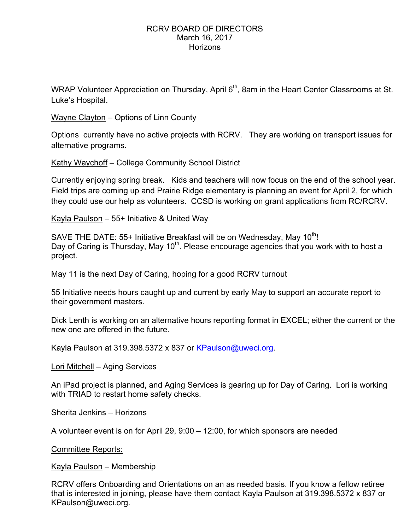WRAP Volunteer Appreciation on Thursday, April 6<sup>th</sup>, 8am in the Heart Center Classrooms at St. Luke's Hospital.

Wayne Clayton – Options of Linn County

Options currently have no active projects with RCRV. They are working on transport issues for alternative programs.

Kathy Waychoff – College Community School District

Currently enjoying spring break. Kids and teachers will now focus on the end of the school year. Field trips are coming up and Prairie Ridge elementary is planning an event for April 2, for which they could use our help as volunteers. CCSD is working on grant applications from RC/RCRV.

Kayla Paulson – 55+ Initiative & United Way

SAVE THE DATE: 55+ Initiative Breakfast will be on Wednesday, May 10<sup>th</sup>! Day of Caring is Thursday, May  $10<sup>th</sup>$ . Please encourage agencies that you work with to host a project.

May 11 is the next Day of Caring, hoping for a good RCRV turnout

55 Initiative needs hours caught up and current by early May to support an accurate report to their government masters.

Dick Lenth is working on an alternative hours reporting format in EXCEL; either the current or the new one are offered in the future.

Kayla Paulson at 319.398.5372 x 837 or KPaulson@uweci.org.

Lori Mitchell – Aging Services

An iPad project is planned, and Aging Services is gearing up for Day of Caring. Lori is working with TRIAD to restart home safety checks.

Sherita Jenkins – Horizons

A volunteer event is on for April 29, 9:00 – 12:00, for which sponsors are needed

Committee Reports:

Kayla Paulson – Membership

RCRV offers Onboarding and Orientations on an as needed basis. If you know a fellow retiree that is interested in joining, please have them contact Kayla Paulson at 319.398.5372 x 837 or KPaulson@uweci.org.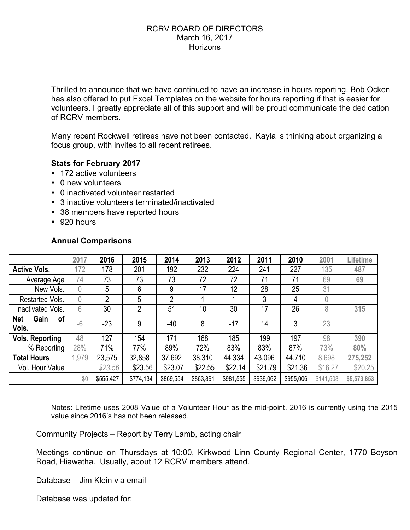Thrilled to announce that we have continued to have an increase in hours reporting. Bob Ocken has also offered to put Excel Templates on the website for hours reporting if that is easier for volunteers. I greatly appreciate all of this support and will be proud communicate the dedication of RCRV members.

Many recent Rockwell retirees have not been contacted. Kayla is thinking about organizing a focus group, with invites to all recent retirees.

# **Stats for February 2017**

- 172 active volunteers
- 0 new volunteers
- 0 inactivated volunteer restarted
- 3 inactive volunteers terminated/inactivated
- 38 members have reported hours
- 920 hours

|                                   | 2017 | 2016           | 2015      | 2014           | 2013      | 2012      | 2011      | 2010      | 2001      | Lifetime    |
|-----------------------------------|------|----------------|-----------|----------------|-----------|-----------|-----------|-----------|-----------|-------------|
| <b>Active Vols.</b>               | 172  | 178            | 201       | 192            | 232       | 224       | 241       | 227       | 135       | 487         |
| Average Age                       | 74   | 73             | 73        | 73             | 72        | 72        | 71        | 71        | 69        | 69          |
| New Vols.                         | 0    | 5              | 6         | 9              | 17        | 12        | 28        | 25        | 31        |             |
| Restarted Vols.                   | 0    | $\overline{2}$ | 5         | $\overline{2}$ |           |           | 3         | 4         | $\theta$  |             |
| Inactivated Vols.                 | 6    | 30             | 2         | 51             | 10        | 30        | 17        | 26        | 8         | 315         |
| Gain<br>of<br><b>Net</b><br>Vols. | $-6$ | $-23$          | 9         | $-40$          | 8         | $-17$     | 14        | 3         | 23        |             |
| <b>Vols. Reporting</b>            | 48   | 127            | 154       | 171            | 168       | 185       | 199       | 197       | 98        | 390         |
| % Reporting                       | 28%  | 71%            | 77%       | 89%            | 72%       | 83%       | 83%       | 87%       | 73%       | 80%         |
| <b>Total Hours</b>                | ,979 | 23,575         | 32,858    | 37,692         | 38,310    | 44,334    | 43,096    | 44,710    | 8,698     | 275,252     |
| Vol. Hour Value                   |      | \$23.56        | \$23.56   | \$23.07        | \$22.55   | \$22.14   | \$21.79   | \$21.36   | \$16.27   | \$20.25     |
|                                   | \$0  | \$555,427      | \$774,134 | \$869,554      | \$863,891 | \$981,555 | \$939,062 | \$955,006 | \$141,508 | \$5,573,853 |

# **Annual Comparisons**

Notes: Lifetime uses 2008 Value of a Volunteer Hour as the mid-point. 2016 is currently using the 2015 value since 2016's has not been released.

Community Projects – Report by Terry Lamb, acting chair

Meetings continue on Thursdays at 10:00, Kirkwood Linn County Regional Center, 1770 Boyson Road, Hiawatha. Usually, about 12 RCRV members attend.

Database – Jim Klein via email

Database was updated for: